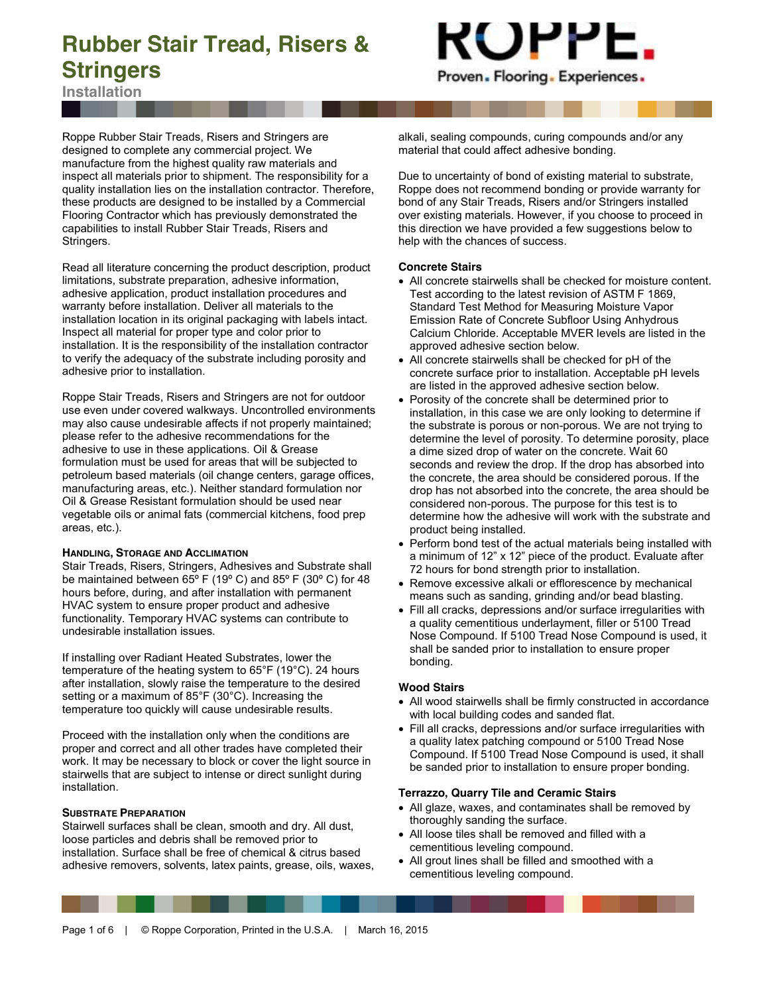**Installation**



Roppe Rubber Stair Treads, Risers and Stringers are designed to complete any commercial project. We manufacture from the highest quality raw materials and inspect all materials prior to shipment. The responsibility for a quality installation lies on the installation contractor. Therefore, these products are designed to be installed by a Commercial Flooring Contractor which has previously demonstrated the capabilities to install Rubber Stair Treads, Risers and Stringers.

Read all literature concerning the product description, product limitations, substrate preparation, adhesive information, adhesive application, product installation procedures and warranty before installation. Deliver all materials to the installation location in its original packaging with labels intact. Inspect all material for proper type and color prior to installation. It is the responsibility of the installation contractor to verify the adequacy of the substrate including porosity and adhesive prior to installation.

Roppe Stair Treads, Risers and Stringers are not for outdoor use even under covered walkways. Uncontrolled environments may also cause undesirable affects if not properly maintained; please refer to the adhesive recommendations for the adhesive to use in these applications. Oil & Grease formulation must be used for areas that will be subjected to petroleum based materials (oil change centers, garage offices, manufacturing areas, etc.). Neither standard formulation nor Oil & Grease Resistant formulation should be used near vegetable oils or animal fats (commercial kitchens, food prep areas, etc.).

#### **HANDLING, STORAGE AND ACCLIMATION**

Stair Treads, Risers, Stringers, Adhesives and Substrate shall be maintained between 65º F (19º C) and 85º F (30º C) for 48 hours before, during, and after installation with permanent HVAC system to ensure proper product and adhesive functionality. Temporary HVAC systems can contribute to undesirable installation issues.

If installing over Radiant Heated Substrates, lower the temperature of the heating system to 65°F (19°C). 24 hours after installation, slowly raise the temperature to the desired setting or a maximum of 85°F (30°C). Increasing the temperature too quickly will cause undesirable results.

Proceed with the installation only when the conditions are proper and correct and all other trades have completed their work. It may be necessary to block or cover the light source in stairwells that are subject to intense or direct sunlight during installation.

#### **SUBSTRATE PREPARATION**

Stairwell surfaces shall be clean, smooth and dry. All dust, loose particles and debris shall be removed prior to installation. Surface shall be free of chemical & citrus based adhesive removers, solvents, latex paints, grease, oils, waxes, alkali, sealing compounds, curing compounds and/or any material that could affect adhesive bonding.

Due to uncertainty of bond of existing material to substrate, Roppe does not recommend bonding or provide warranty for bond of any Stair Treads, Risers and/or Stringers installed over existing materials. However, if you choose to proceed in this direction we have provided a few suggestions below to help with the chances of success.

#### **Concrete Stairs**

- All concrete stairwells shall be checked for moisture content. Test according to the latest revision of ASTM F 1869, Standard Test Method for Measuring Moisture Vapor Emission Rate of Concrete Subfloor Using Anhydrous Calcium Chloride. Acceptable MVER levels are listed in the approved adhesive section below.
- All concrete stairwells shall be checked for pH of the concrete surface prior to installation. Acceptable pH levels are listed in the approved adhesive section below.
- Porosity of the concrete shall be determined prior to installation, in this case we are only looking to determine if the substrate is porous or non-porous. We are not trying to determine the level of porosity. To determine porosity, place a dime sized drop of water on the concrete. Wait 60 seconds and review the drop. If the drop has absorbed into the concrete, the area should be considered porous. If the drop has not absorbed into the concrete, the area should be considered non-porous. The purpose for this test is to determine how the adhesive will work with the substrate and product being installed.
- Perform bond test of the actual materials being installed with a minimum of 12" x 12" piece of the product. Evaluate after 72 hours for bond strength prior to installation.
- Remove excessive alkali or efflorescence by mechanical means such as sanding, grinding and/or bead blasting.
- Fill all cracks, depressions and/or surface irregularities with a quality cementitious underlayment, filler or 5100 Tread Nose Compound. If 5100 Tread Nose Compound is used, it shall be sanded prior to installation to ensure proper bonding.

#### **Wood Stairs**

- All wood stairwells shall be firmly constructed in accordance with local building codes and sanded flat.
- Fill all cracks, depressions and/or surface irregularities with a quality latex patching compound or 5100 Tread Nose Compound. If 5100 Tread Nose Compound is used, it shall be sanded prior to installation to ensure proper bonding.

#### **Terrazzo, Quarry Tile and Ceramic Stairs**

- All glaze, waxes, and contaminates shall be removed by thoroughly sanding the surface.
- All loose tiles shall be removed and filled with a cementitious leveling compound.
- All grout lines shall be filled and smoothed with a cementitious leveling compound.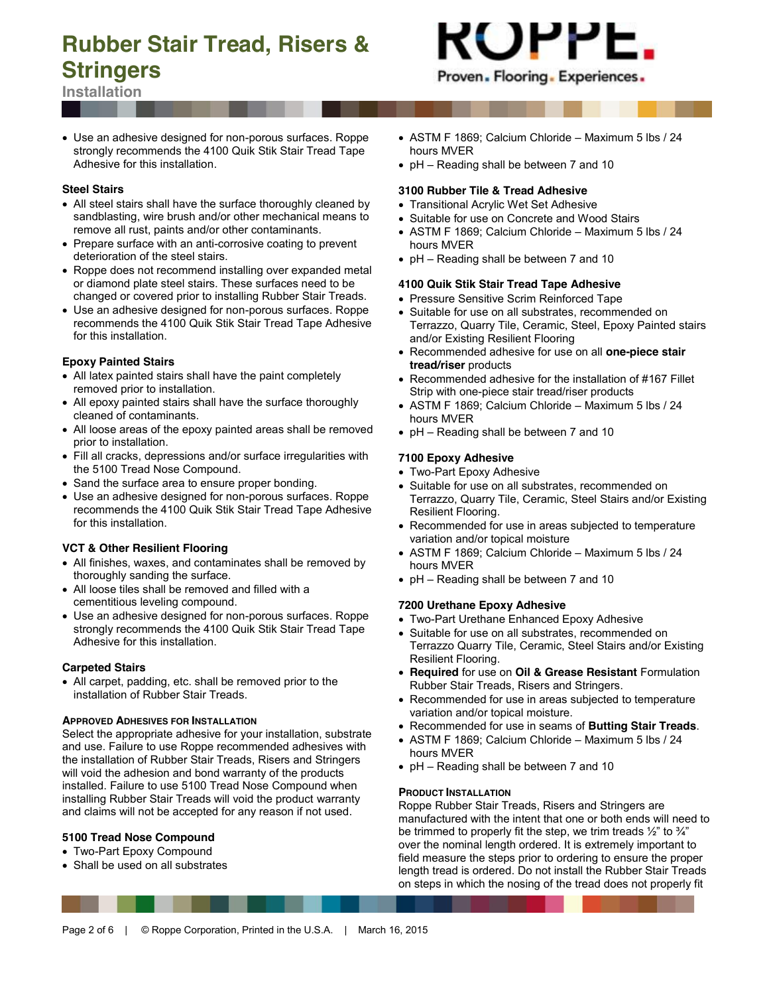

**Installation**

• Use an adhesive designed for non-porous surfaces. Roppe strongly recommends the 4100 Quik Stik Stair Tread Tape Adhesive for this installation.

#### **Steel Stairs**

- All steel stairs shall have the surface thoroughly cleaned by sandblasting, wire brush and/or other mechanical means to remove all rust, paints and/or other contaminants.
- Prepare surface with an anti-corrosive coating to prevent deterioration of the steel stairs.
- Roppe does not recommend installing over expanded metal or diamond plate steel stairs. These surfaces need to be changed or covered prior to installing Rubber Stair Treads.
- Use an adhesive designed for non-porous surfaces. Roppe recommends the 4100 Quik Stik Stair Tread Tape Adhesive for this installation.

# **Epoxy Painted Stairs**

- All latex painted stairs shall have the paint completely removed prior to installation.
- All epoxy painted stairs shall have the surface thoroughly cleaned of contaminants.
- All loose areas of the epoxy painted areas shall be removed prior to installation.
- Fill all cracks, depressions and/or surface irregularities with the 5100 Tread Nose Compound.
- Sand the surface area to ensure proper bonding.
- Use an adhesive designed for non-porous surfaces. Roppe recommends the 4100 Quik Stik Stair Tread Tape Adhesive for this installation.

# **VCT & Other Resilient Flooring**

- All finishes, waxes, and contaminates shall be removed by thoroughly sanding the surface.
- All loose tiles shall be removed and filled with a cementitious leveling compound.
- Use an adhesive designed for non-porous surfaces. Roppe strongly recommends the 4100 Quik Stik Stair Tread Tape Adhesive for this installation.

#### **Carpeted Stairs**

• All carpet, padding, etc. shall be removed prior to the installation of Rubber Stair Treads.

#### **APPROVED ADHESIVES FOR INSTALLATION**

Select the appropriate adhesive for your installation, substrate and use. Failure to use Roppe recommended adhesives with the installation of Rubber Stair Treads, Risers and Stringers will void the adhesion and bond warranty of the products installed. Failure to use 5100 Tread Nose Compound when installing Rubber Stair Treads will void the product warranty and claims will not be accepted for any reason if not used.

# **5100 Tread Nose Compound**

- Two-Part Epoxy Compound
- Shall be used on all substrates
- x ASTM F 1869; Calcium Chloride Maximum 5 lbs / 24 hours MVER
- pH Reading shall be between 7 and 10

## **3100 Rubber Tile & Tread Adhesive**

- Transitional Acrylic Wet Set Adhesive
- Suitable for use on Concrete and Wood Stairs
- x ASTM F 1869; Calcium Chloride Maximum 5 lbs / 24 hours MVER
- $\bullet$  pH Reading shall be between 7 and 10

#### **4100 Quik Stik Stair Tread Tape Adhesive**

- Pressure Sensitive Scrim Reinforced Tape
- Suitable for use on all substrates, recommended on Terrazzo, Quarry Tile, Ceramic, Steel, Epoxy Painted stairs and/or Existing Resilient Flooring
- x Recommended adhesive for use on all **one-piece stair tread/riser** products
- $\bullet$  Recommended adhesive for the installation of #167 Fillet Strip with one-piece stair tread/riser products
- ASTM F 1869; Calcium Chloride Maximum 5 lbs / 24 hours MVER
- pH Reading shall be between 7 and 10

#### **7100 Epoxy Adhesive**

- Two-Part Epoxy Adhesive
- Suitable for use on all substrates, recommended on Terrazzo, Quarry Tile, Ceramic, Steel Stairs and/or Existing Resilient Flooring.
- Recommended for use in areas subjected to temperature variation and/or topical moisture
- x ASTM F 1869; Calcium Chloride Maximum 5 lbs / 24 hours MVER
- pH Reading shall be between 7 and 10

# **7200 Urethane Epoxy Adhesive**

- Two-Part Urethane Enhanced Epoxy Adhesive
- Suitable for use on all substrates, recommended on Terrazzo Quarry Tile, Ceramic, Steel Stairs and/or Existing Resilient Flooring.
- x **Required** for use on **Oil & Grease Resistant** Formulation Rubber Stair Treads, Risers and Stringers.
- Recommended for use in areas subjected to temperature variation and/or topical moisture.
- x Recommended for use in seams of **Butting Stair Treads**.
- ASTM F 1869; Calcium Chloride Maximum 5 lbs / 24 hours MVER
- pH Reading shall be between 7 and 10

#### **PRODUCT INSTALLATION**

Roppe Rubber Stair Treads, Risers and Stringers are manufactured with the intent that one or both ends will need to be trimmed to properly fit the step, we trim treads  $\frac{1}{2}$ " to  $\frac{3}{4}$ " over the nominal length ordered. It is extremely important to field measure the steps prior to ordering to ensure the proper length tread is ordered. Do not install the Rubber Stair Treads on steps in which the nosing of the tread does not properly fit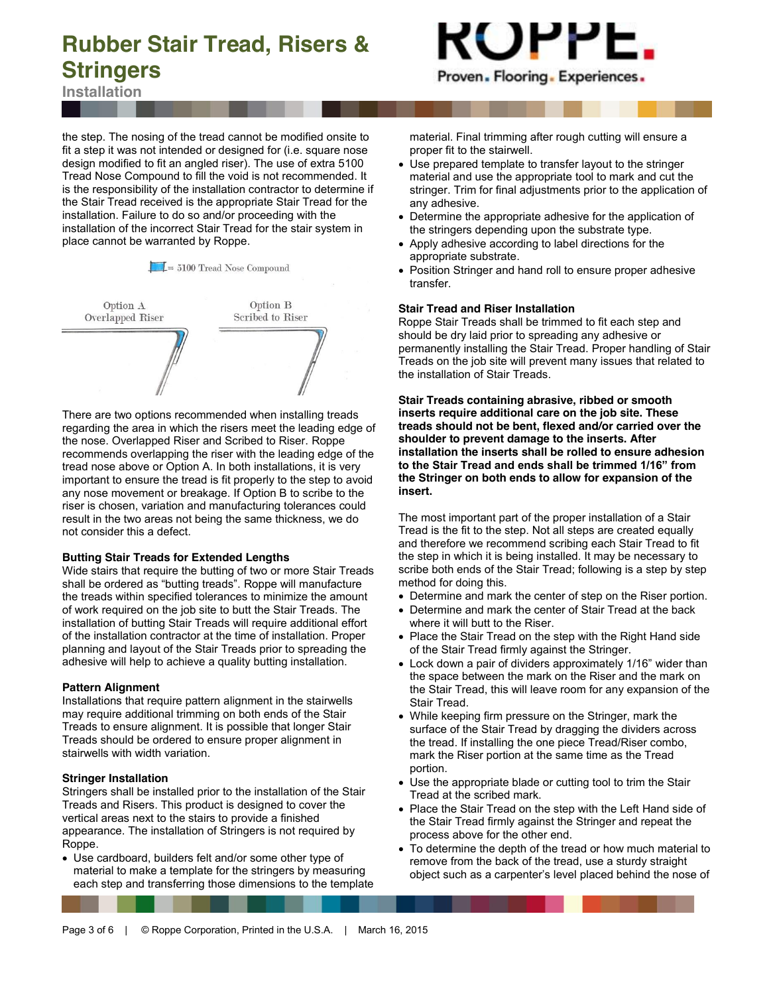

**Installation**

the step. The nosing of the tread cannot be modified onsite to fit a step it was not intended or designed for (i.e. square nose design modified to fit an angled riser). The use of extra 5100 Tread Nose Compound to fill the void is not recommended. It is the responsibility of the installation contractor to determine if the Stair Tread received is the appropriate Stair Tread for the installation. Failure to do so and/or proceeding with the installation of the incorrect Stair Tread for the stair system in place cannot be warranted by Roppe.

 $\frac{1}{2}$  = 5100 Tread Nose Compound



There are two options recommended when installing treads regarding the area in which the risers meet the leading edge of the nose. Overlapped Riser and Scribed to Riser. Roppe recommends overlapping the riser with the leading edge of the tread nose above or Option A. In both installations, it is very important to ensure the tread is fit properly to the step to avoid any nose movement or breakage. If Option B to scribe to the riser is chosen, variation and manufacturing tolerances could result in the two areas not being the same thickness, we do not consider this a defect.

#### **Butting Stair Treads for Extended Lengths**

Wide stairs that require the butting of two or more Stair Treads shall be ordered as "butting treads". Roppe will manufacture the treads within specified tolerances to minimize the amount of work required on the job site to butt the Stair Treads. The installation of butting Stair Treads will require additional effort of the installation contractor at the time of installation. Proper planning and layout of the Stair Treads prior to spreading the adhesive will help to achieve a quality butting installation.

# **Pattern Alignment**

Installations that require pattern alignment in the stairwells may require additional trimming on both ends of the Stair Treads to ensure alignment. It is possible that longer Stair Treads should be ordered to ensure proper alignment in stairwells with width variation.

# **Stringer Installation**

Stringers shall be installed prior to the installation of the Stair Treads and Risers. This product is designed to cover the vertical areas next to the stairs to provide a finished appearance. The installation of Stringers is not required by Roppe.

• Use cardboard, builders felt and/or some other type of material to make a template for the stringers by measuring each step and transferring those dimensions to the template material. Final trimming after rough cutting will ensure a proper fit to the stairwell.

- Use prepared template to transfer layout to the stringer material and use the appropriate tool to mark and cut the stringer. Trim for final adjustments prior to the application of any adhesive.
- Determine the appropriate adhesive for the application of the stringers depending upon the substrate type.
- Apply adhesive according to label directions for the appropriate substrate.
- Position Stringer and hand roll to ensure proper adhesive transfer.

# **Stair Tread and Riser Installation**

Roppe Stair Treads shall be trimmed to fit each step and should be dry laid prior to spreading any adhesive or permanently installing the Stair Tread. Proper handling of Stair Treads on the job site will prevent many issues that related to the installation of Stair Treads.

**Stair Treads containing abrasive, ribbed or smooth inserts require additional care on the job site. These treads should not be bent, flexed and/or carried over the shoulder to prevent damage to the inserts. After installation the inserts shall be rolled to ensure adhesion to the Stair Tread and ends shall be trimmed 1/16" from the Stringer on both ends to allow for expansion of the insert.**

The most important part of the proper installation of a Stair Tread is the fit to the step. Not all steps are created equally and therefore we recommend scribing each Stair Tread to fit the step in which it is being installed. It may be necessary to scribe both ends of the Stair Tread; following is a step by step method for doing this.

- Determine and mark the center of step on the Riser portion.
- Determine and mark the center of Stair Tread at the back where it will butt to the Riser.
- Place the Stair Tread on the step with the Right Hand side of the Stair Tread firmly against the Stringer.
- Lock down a pair of dividers approximately 1/16" wider than the space between the mark on the Riser and the mark on the Stair Tread, this will leave room for any expansion of the Stair Tread.
- While keeping firm pressure on the Stringer, mark the surface of the Stair Tread by dragging the dividers across the tread. If installing the one piece Tread/Riser combo, mark the Riser portion at the same time as the Tread portion.
- Use the appropriate blade or cutting tool to trim the Stair Tread at the scribed mark.
- Place the Stair Tread on the step with the Left Hand side of the Stair Tread firmly against the Stringer and repeat the process above for the other end.
- To determine the depth of the tread or how much material to remove from the back of the tread, use a sturdy straight object such as a carpenter's level placed behind the nose of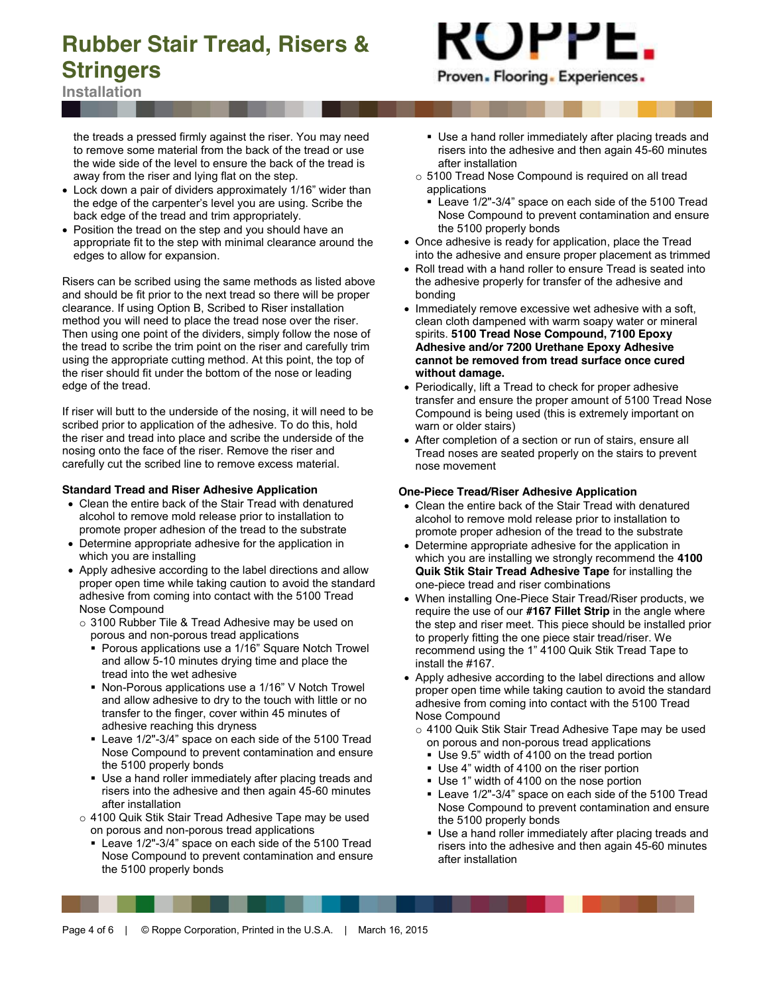**Installation**

the treads a pressed firmly against the riser. You may need to remove some material from the back of the tread or use the wide side of the level to ensure the back of the tread is away from the riser and lying flat on the step.

- Lock down a pair of dividers approximately 1/16" wider than the edge of the carpenter's level you are using. Scribe the back edge of the tread and trim appropriately.
- Position the tread on the step and you should have an appropriate fit to the step with minimal clearance around the edges to allow for expansion.

Risers can be scribed using the same methods as listed above and should be fit prior to the next tread so there will be proper clearance. If using Option B, Scribed to Riser installation method you will need to place the tread nose over the riser. Then using one point of the dividers, simply follow the nose of the tread to scribe the trim point on the riser and carefully trim using the appropriate cutting method. At this point, the top of the riser should fit under the bottom of the nose or leading edge of the tread.

If riser will butt to the underside of the nosing, it will need to be scribed prior to application of the adhesive. To do this, hold the riser and tread into place and scribe the underside of the nosing onto the face of the riser. Remove the riser and carefully cut the scribed line to remove excess material.

#### **Standard Tread and Riser Adhesive Application**

- Clean the entire back of the Stair Tread with denatured alcohol to remove mold release prior to installation to promote proper adhesion of the tread to the substrate
- Determine appropriate adhesive for the application in which you are installing
- Apply adhesive according to the label directions and allow proper open time while taking caution to avoid the standard adhesive from coming into contact with the 5100 Tread Nose Compound
	- o 3100 Rubber Tile & Tread Adhesive may be used on porous and non-porous tread applications
		- Porous applications use a 1/16" Square Notch Trowel and allow 5-10 minutes drying time and place the tread into the wet adhesive
		- Non-Porous applications use a 1/16" V Notch Trowel and allow adhesive to dry to the touch with little or no transfer to the finger, cover within 45 minutes of adhesive reaching this dryness
		- Leave 1/2"-3/4" space on each side of the 5100 Tread Nose Compound to prevent contamination and ensure the 5100 properly bonds
		- Use a hand roller immediately after placing treads and risers into the adhesive and then again 45-60 minutes after installation
	- o 4100 Quik Stik Stair Tread Adhesive Tape may be used on porous and non-porous tread applications
		- Leave 1/2"-3/4" space on each side of the 5100 Tread Nose Compound to prevent contamination and ensure the 5100 properly bonds

#### Use a hand roller immediately after placing treads and risers into the adhesive and then again 45-60 minutes after installation

- o 5100 Tread Nose Compound is required on all tread applications
- Leave 1/2"-3/4" space on each side of the 5100 Tread Nose Compound to prevent contamination and ensure the 5100 properly bonds
- Once adhesive is ready for application, place the Tread into the adhesive and ensure proper placement as trimmed
- Roll tread with a hand roller to ensure Tread is seated into the adhesive properly for transfer of the adhesive and bonding
- Immediately remove excessive wet adhesive with a soft, clean cloth dampened with warm soapy water or mineral spirits. **5100 Tread Nose Compound, 7100 Epoxy Adhesive and/or 7200 Urethane Epoxy Adhesive cannot be removed from tread surface once cured without damage.**
- Periodically, lift a Tread to check for proper adhesive transfer and ensure the proper amount of 5100 Tread Nose Compound is being used (this is extremely important on warn or older stairs)
- After completion of a section or run of stairs, ensure all Tread noses are seated properly on the stairs to prevent nose movement

#### **One-Piece Tread/Riser Adhesive Application**

- Clean the entire back of the Stair Tread with denatured alcohol to remove mold release prior to installation to promote proper adhesion of the tread to the substrate
- Determine appropriate adhesive for the application in which you are installing we strongly recommend the **4100 Quik Stik Stair Tread Adhesive Tape** for installing the one-piece tread and riser combinations
- When installing One-Piece Stair Tread/Riser products, we require the use of our **#167 Fillet Strip** in the angle where the step and riser meet. This piece should be installed prior to properly fitting the one piece stair tread/riser. We recommend using the 1" 4100 Quik Stik Tread Tape to install the #167.
- Apply adhesive according to the label directions and allow proper open time while taking caution to avoid the standard adhesive from coming into contact with the 5100 Tread Nose Compound
	- o 4100 Quik Stik Stair Tread Adhesive Tape may be used on porous and non-porous tread applications
		- Use 9.5" width of 4100 on the tread portion
		- Use 4" width of 4100 on the riser portion
		- Use 1" width of 4100 on the nose portion
		- Leave 1/2"-3/4" space on each side of the 5100 Tread Nose Compound to prevent contamination and ensure the 5100 properly bonds
		- Use a hand roller immediately after placing treads and risers into the adhesive and then again 45-60 minutes after installation

# ROPPE

Proven. Flooring. Experiences.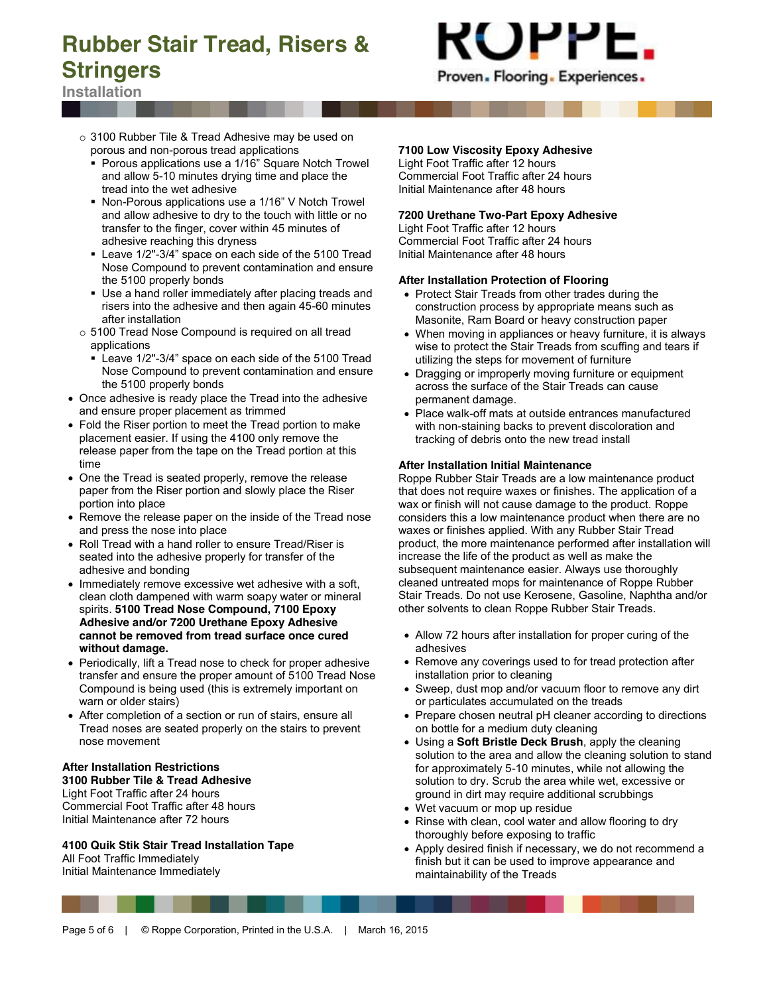

**Installation**

- - o 3100 Rubber Tile & Tread Adhesive may be used on porous and non-porous tread applications
		- Porous applications use a 1/16" Square Notch Trowel and allow 5-10 minutes drying time and place the tread into the wet adhesive
		- Non-Porous applications use a 1/16" V Notch Trowel and allow adhesive to dry to the touch with little or no transfer to the finger, cover within 45 minutes of adhesive reaching this dryness
		- Leave 1/2"-3/4" space on each side of the 5100 Tread Nose Compound to prevent contamination and ensure the 5100 properly bonds
		- Use a hand roller immediately after placing treads and risers into the adhesive and then again 45-60 minutes after installation
	- o 5100 Tread Nose Compound is required on all tread applications
		- Leave 1/2"-3/4" space on each side of the 5100 Tread Nose Compound to prevent contamination and ensure the 5100 properly bonds
- Once adhesive is ready place the Tread into the adhesive and ensure proper placement as trimmed
- Fold the Riser portion to meet the Tread portion to make placement easier. If using the 4100 only remove the release paper from the tape on the Tread portion at this time
- One the Tread is seated properly, remove the release paper from the Riser portion and slowly place the Riser portion into place
- Remove the release paper on the inside of the Tread nose and press the nose into place
- Roll Tread with a hand roller to ensure Tread/Riser is seated into the adhesive properly for transfer of the adhesive and bonding
- Immediately remove excessive wet adhesive with a soft, clean cloth dampened with warm soapy water or mineral spirits. **5100 Tread Nose Compound, 7100 Epoxy Adhesive and/or 7200 Urethane Epoxy Adhesive cannot be removed from tread surface once cured without damage.**
- Periodically, lift a Tread nose to check for proper adhesive transfer and ensure the proper amount of 5100 Tread Nose Compound is being used (this is extremely important on warn or older stairs)
- After completion of a section or run of stairs, ensure all Tread noses are seated properly on the stairs to prevent nose movement

#### **After Installation Restrictions 3100 Rubber Tile & Tread Adhesive**

Light Foot Traffic after 24 hours Commercial Foot Traffic after 48 hours Initial Maintenance after 72 hours

**4100 Quik Stik Stair Tread Installation Tape** All Foot Traffic Immediately

Initial Maintenance Immediately

## **7100 Low Viscosity Epoxy Adhesive**

Light Foot Traffic after 12 hours Commercial Foot Traffic after 24 hours Initial Maintenance after 48 hours

## **7200 Urethane Two-Part Epoxy Adhesive**

Light Foot Traffic after 12 hours Commercial Foot Traffic after 24 hours Initial Maintenance after 48 hours

#### **After Installation Protection of Flooring**

- Protect Stair Treads from other trades during the construction process by appropriate means such as Masonite, Ram Board or heavy construction paper
- When moving in appliances or heavy furniture, it is always wise to protect the Stair Treads from scuffing and tears if utilizing the steps for movement of furniture
- Dragging or improperly moving furniture or equipment across the surface of the Stair Treads can cause permanent damage.
- Place walk-off mats at outside entrances manufactured with non-staining backs to prevent discoloration and tracking of debris onto the new tread install

## **After Installation Initial Maintenance**

Roppe Rubber Stair Treads are a low maintenance product that does not require waxes or finishes. The application of a wax or finish will not cause damage to the product. Roppe considers this a low maintenance product when there are no waxes or finishes applied. With any Rubber Stair Tread product, the more maintenance performed after installation will increase the life of the product as well as make the subsequent maintenance easier. Always use thoroughly cleaned untreated mops for maintenance of Roppe Rubber Stair Treads. Do not use Kerosene, Gasoline, Naphtha and/or other solvents to clean Roppe Rubber Stair Treads.

- Allow 72 hours after installation for proper curing of the adhesives
- Remove any coverings used to for tread protection after installation prior to cleaning
- Sweep, dust mop and/or vacuum floor to remove any dirt or particulates accumulated on the treads
- Prepare chosen neutral pH cleaner according to directions on bottle for a medium duty cleaning
- Using a **Soft Bristle Deck Brush**, apply the cleaning solution to the area and allow the cleaning solution to stand for approximately 5-10 minutes, while not allowing the solution to dry. Scrub the area while wet, excessive or ground in dirt may require additional scrubbings
- Wet vacuum or mop up residue
- Rinse with clean, cool water and allow flooring to dry thoroughly before exposing to traffic
- Apply desired finish if necessary, we do not recommend a finish but it can be used to improve appearance and maintainability of the Treads